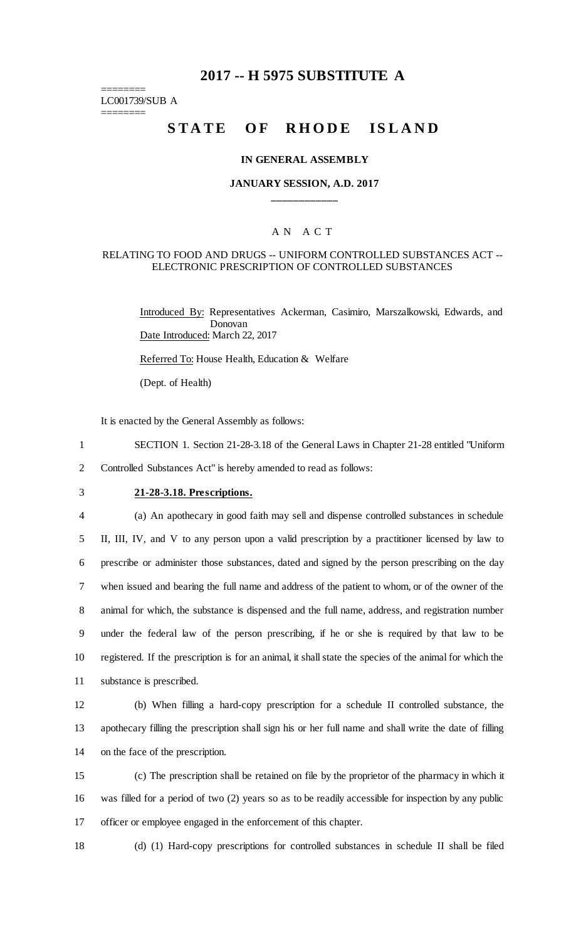## **2017 -- H 5975 SUBSTITUTE A**

======== LC001739/SUB A

========

# STATE OF RHODE ISLAND

#### **IN GENERAL ASSEMBLY**

### **JANUARY SESSION, A.D. 2017 \_\_\_\_\_\_\_\_\_\_\_\_**

#### A N A C T

#### RELATING TO FOOD AND DRUGS -- UNIFORM CONTROLLED SUBSTANCES ACT -- ELECTRONIC PRESCRIPTION OF CONTROLLED SUBSTANCES

Introduced By: Representatives Ackerman, Casimiro, Marszalkowski, Edwards, and Donovan Date Introduced: March 22, 2017

Referred To: House Health, Education & Welfare

(Dept. of Health)

It is enacted by the General Assembly as follows:

1 SECTION 1. Section 21-28-3.18 of the General Laws in Chapter 21-28 entitled "Uniform

- 2 Controlled Substances Act" is hereby amended to read as follows:
- 

## 3 **21-28-3.18. Prescriptions.**

 (a) An apothecary in good faith may sell and dispense controlled substances in schedule II, III, IV, and V to any person upon a valid prescription by a practitioner licensed by law to prescribe or administer those substances, dated and signed by the person prescribing on the day when issued and bearing the full name and address of the patient to whom, or of the owner of the animal for which, the substance is dispensed and the full name, address, and registration number under the federal law of the person prescribing, if he or she is required by that law to be registered. If the prescription is for an animal, it shall state the species of the animal for which the substance is prescribed.

12 (b) When filling a hard-copy prescription for a schedule II controlled substance, the 13 apothecary filling the prescription shall sign his or her full name and shall write the date of filling 14 on the face of the prescription.

15 (c) The prescription shall be retained on file by the proprietor of the pharmacy in which it 16 was filled for a period of two (2) years so as to be readily accessible for inspection by any public 17 officer or employee engaged in the enforcement of this chapter.

18 (d) (1) Hard-copy prescriptions for controlled substances in schedule II shall be filed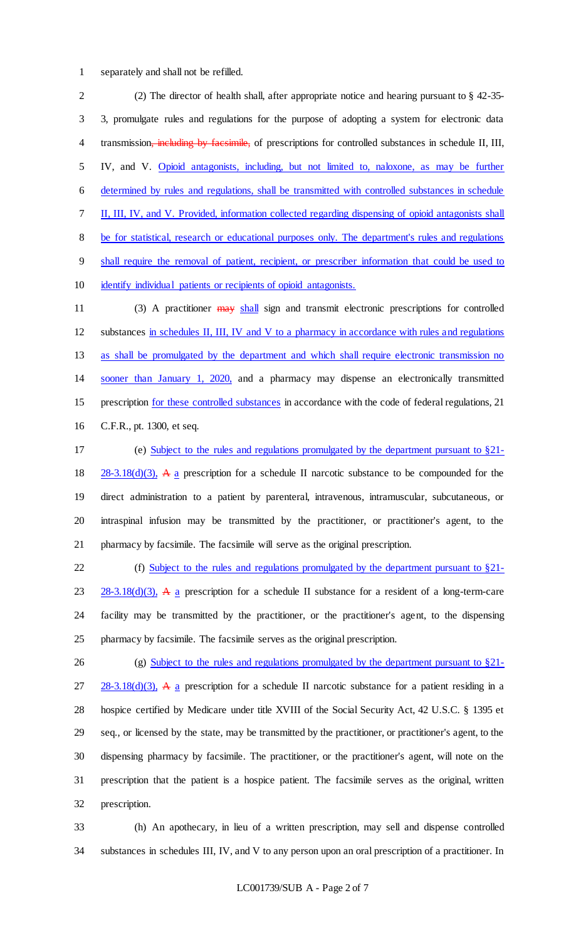separately and shall not be refilled.

 (2) The director of health shall, after appropriate notice and hearing pursuant to § 42-35- 3, promulgate rules and regulations for the purpose of adopting a system for electronic data transmission, including by facsimile, of prescriptions for controlled substances in schedule II, III, IV, and V. Opioid antagonists, including, but not limited to, naloxone, as may be further determined by rules and regulations, shall be transmitted with controlled substances in schedule II, III, IV, and V. Provided, information collected regarding dispensing of opioid antagonists shall be for statistical, research or educational purposes only. The department's rules and regulations shall require the removal of patient, recipient, or prescriber information that could be used to identify individual patients or recipients of opioid antagonists.

11 (3) A practitioner may shall sign and transmit electronic prescriptions for controlled substances in schedules II, III, IV and V to a pharmacy in accordance with rules and regulations as shall be promulgated by the department and which shall require electronic transmission no sooner than January 1, 2020, and a pharmacy may dispense an electronically transmitted prescription for these controlled substances in accordance with the code of federal regulations, 21 C.F.R., pt. 1300, et seq.

 (e) Subject to the rules and regulations promulgated by the department pursuant to §21-  $28-3.18(d)(3)$ , A a prescription for a schedule II narcotic substance to be compounded for the direct administration to a patient by parenteral, intravenous, intramuscular, subcutaneous, or intraspinal infusion may be transmitted by the practitioner, or practitioner's agent, to the pharmacy by facsimile. The facsimile will serve as the original prescription.

 (f) Subject to the rules and regulations promulgated by the department pursuant to §21-  $23 \quad 28-3.18(d)(3)$ , A a prescription for a schedule II substance for a resident of a long-term-care facility may be transmitted by the practitioner, or the practitioner's agent, to the dispensing pharmacy by facsimile. The facsimile serves as the original prescription.

26 (g) Subject to the rules and regulations promulgated by the department pursuant to §21- $27 \frac{28-3.18(d)(3)}{4}$ , A a prescription for a schedule II narcotic substance for a patient residing in a hospice certified by Medicare under title XVIII of the Social Security Act, 42 U.S.C. § 1395 et seq., or licensed by the state, may be transmitted by the practitioner, or practitioner's agent, to the dispensing pharmacy by facsimile. The practitioner, or the practitioner's agent, will note on the prescription that the patient is a hospice patient. The facsimile serves as the original, written prescription.

 (h) An apothecary, in lieu of a written prescription, may sell and dispense controlled substances in schedules III, IV, and V to any person upon an oral prescription of a practitioner. In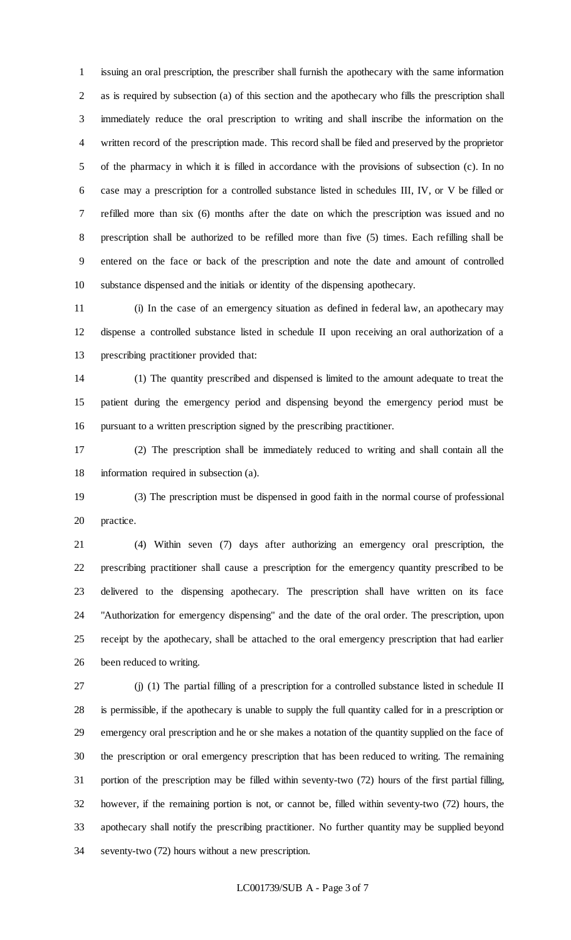issuing an oral prescription, the prescriber shall furnish the apothecary with the same information as is required by subsection (a) of this section and the apothecary who fills the prescription shall immediately reduce the oral prescription to writing and shall inscribe the information on the written record of the prescription made. This record shall be filed and preserved by the proprietor of the pharmacy in which it is filled in accordance with the provisions of subsection (c). In no case may a prescription for a controlled substance listed in schedules III, IV, or V be filled or refilled more than six (6) months after the date on which the prescription was issued and no prescription shall be authorized to be refilled more than five (5) times. Each refilling shall be entered on the face or back of the prescription and note the date and amount of controlled substance dispensed and the initials or identity of the dispensing apothecary.

 (i) In the case of an emergency situation as defined in federal law, an apothecary may dispense a controlled substance listed in schedule II upon receiving an oral authorization of a prescribing practitioner provided that:

 (1) The quantity prescribed and dispensed is limited to the amount adequate to treat the patient during the emergency period and dispensing beyond the emergency period must be pursuant to a written prescription signed by the prescribing practitioner.

 (2) The prescription shall be immediately reduced to writing and shall contain all the information required in subsection (a).

 (3) The prescription must be dispensed in good faith in the normal course of professional practice.

 (4) Within seven (7) days after authorizing an emergency oral prescription, the prescribing practitioner shall cause a prescription for the emergency quantity prescribed to be delivered to the dispensing apothecary. The prescription shall have written on its face "Authorization for emergency dispensing" and the date of the oral order. The prescription, upon receipt by the apothecary, shall be attached to the oral emergency prescription that had earlier been reduced to writing.

 (j) (1) The partial filling of a prescription for a controlled substance listed in schedule II is permissible, if the apothecary is unable to supply the full quantity called for in a prescription or emergency oral prescription and he or she makes a notation of the quantity supplied on the face of the prescription or oral emergency prescription that has been reduced to writing. The remaining portion of the prescription may be filled within seventy-two (72) hours of the first partial filling, however, if the remaining portion is not, or cannot be, filled within seventy-two (72) hours, the apothecary shall notify the prescribing practitioner. No further quantity may be supplied beyond seventy-two (72) hours without a new prescription.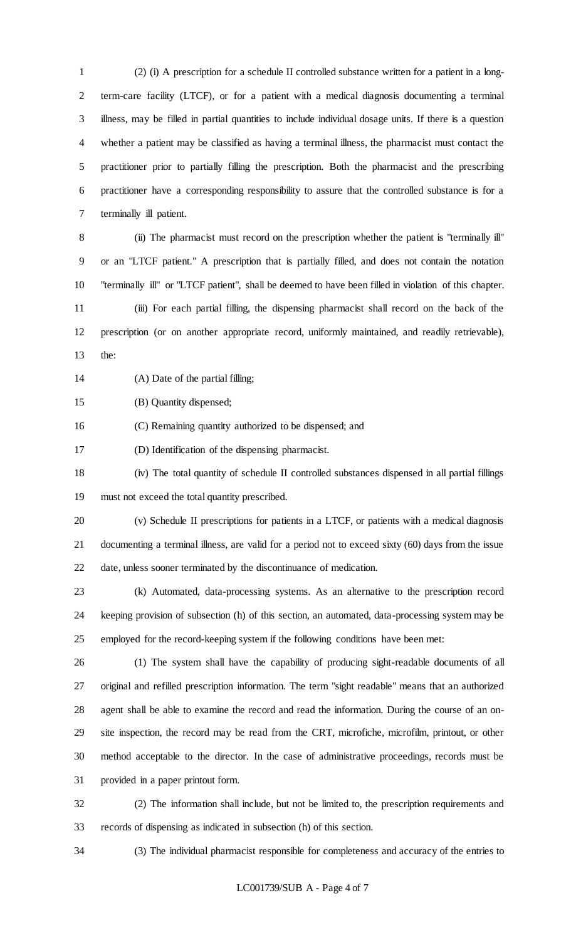(2) (i) A prescription for a schedule II controlled substance written for a patient in a long- term-care facility (LTCF), or for a patient with a medical diagnosis documenting a terminal illness, may be filled in partial quantities to include individual dosage units. If there is a question whether a patient may be classified as having a terminal illness, the pharmacist must contact the practitioner prior to partially filling the prescription. Both the pharmacist and the prescribing practitioner have a corresponding responsibility to assure that the controlled substance is for a terminally ill patient.

 (ii) The pharmacist must record on the prescription whether the patient is "terminally ill" or an "LTCF patient." A prescription that is partially filled, and does not contain the notation "terminally ill" or "LTCF patient", shall be deemed to have been filled in violation of this chapter. (iii) For each partial filling, the dispensing pharmacist shall record on the back of the prescription (or on another appropriate record, uniformly maintained, and readily retrievable), the<sup> $\cdot$ </sup>

(A) Date of the partial filling;

(B) Quantity dispensed;

(C) Remaining quantity authorized to be dispensed; and

(D) Identification of the dispensing pharmacist.

 (iv) The total quantity of schedule II controlled substances dispensed in all partial fillings must not exceed the total quantity prescribed.

 (v) Schedule II prescriptions for patients in a LTCF, or patients with a medical diagnosis documenting a terminal illness, are valid for a period not to exceed sixty (60) days from the issue date, unless sooner terminated by the discontinuance of medication.

 (k) Automated, data-processing systems. As an alternative to the prescription record keeping provision of subsection (h) of this section, an automated, data-processing system may be employed for the record-keeping system if the following conditions have been met:

 (1) The system shall have the capability of producing sight-readable documents of all original and refilled prescription information. The term "sight readable" means that an authorized agent shall be able to examine the record and read the information. During the course of an on- site inspection, the record may be read from the CRT, microfiche, microfilm, printout, or other method acceptable to the director. In the case of administrative proceedings, records must be provided in a paper printout form.

 (2) The information shall include, but not be limited to, the prescription requirements and records of dispensing as indicated in subsection (h) of this section.

(3) The individual pharmacist responsible for completeness and accuracy of the entries to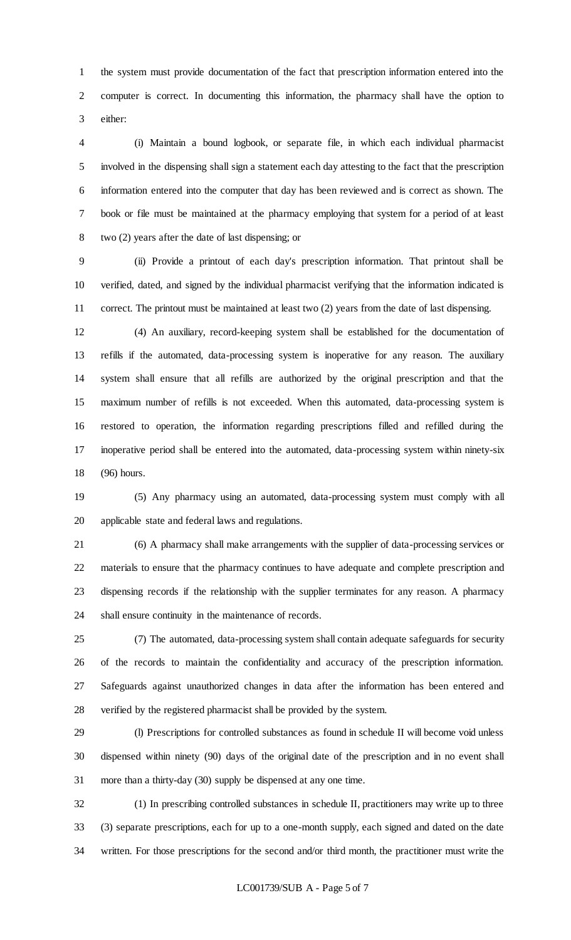the system must provide documentation of the fact that prescription information entered into the computer is correct. In documenting this information, the pharmacy shall have the option to either:

 (i) Maintain a bound logbook, or separate file, in which each individual pharmacist involved in the dispensing shall sign a statement each day attesting to the fact that the prescription information entered into the computer that day has been reviewed and is correct as shown. The book or file must be maintained at the pharmacy employing that system for a period of at least two (2) years after the date of last dispensing; or

 (ii) Provide a printout of each day's prescription information. That printout shall be verified, dated, and signed by the individual pharmacist verifying that the information indicated is correct. The printout must be maintained at least two (2) years from the date of last dispensing.

 (4) An auxiliary, record-keeping system shall be established for the documentation of refills if the automated, data-processing system is inoperative for any reason. The auxiliary system shall ensure that all refills are authorized by the original prescription and that the maximum number of refills is not exceeded. When this automated, data-processing system is restored to operation, the information regarding prescriptions filled and refilled during the inoperative period shall be entered into the automated, data-processing system within ninety-six (96) hours.

 (5) Any pharmacy using an automated, data-processing system must comply with all applicable state and federal laws and regulations.

 (6) A pharmacy shall make arrangements with the supplier of data-processing services or materials to ensure that the pharmacy continues to have adequate and complete prescription and dispensing records if the relationship with the supplier terminates for any reason. A pharmacy shall ensure continuity in the maintenance of records.

 (7) The automated, data-processing system shall contain adequate safeguards for security of the records to maintain the confidentiality and accuracy of the prescription information. Safeguards against unauthorized changes in data after the information has been entered and verified by the registered pharmacist shall be provided by the system.

 (l) Prescriptions for controlled substances as found in schedule II will become void unless dispensed within ninety (90) days of the original date of the prescription and in no event shall more than a thirty-day (30) supply be dispensed at any one time.

 (1) In prescribing controlled substances in schedule II, practitioners may write up to three (3) separate prescriptions, each for up to a one-month supply, each signed and dated on the date written. For those prescriptions for the second and/or third month, the practitioner must write the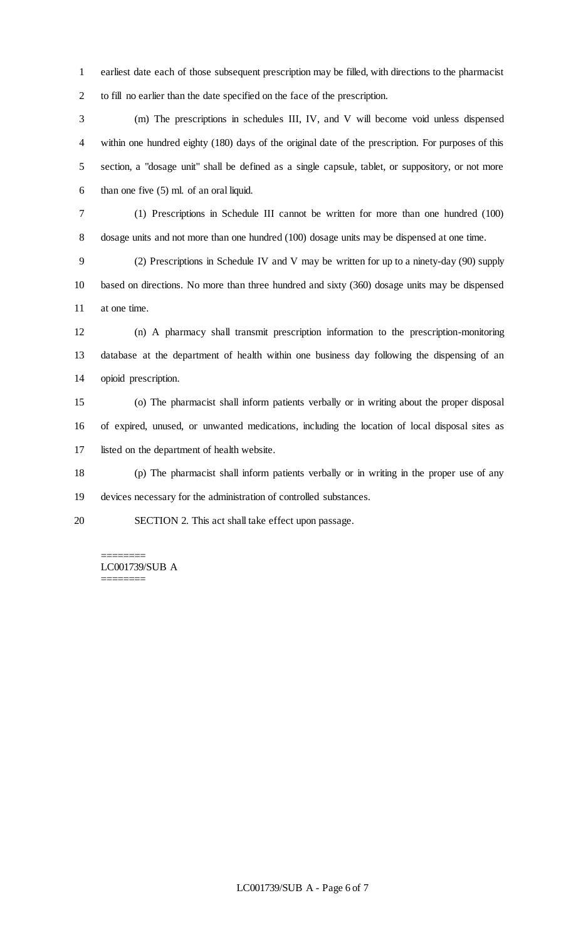earliest date each of those subsequent prescription may be filled, with directions to the pharmacist to fill no earlier than the date specified on the face of the prescription.

 (m) The prescriptions in schedules III, IV, and V will become void unless dispensed within one hundred eighty (180) days of the original date of the prescription. For purposes of this section, a "dosage unit" shall be defined as a single capsule, tablet, or suppository, or not more 6 than one five  $(5)$  ml. of an oral liquid.

 (1) Prescriptions in Schedule III cannot be written for more than one hundred (100) dosage units and not more than one hundred (100) dosage units may be dispensed at one time.

 (2) Prescriptions in Schedule IV and V may be written for up to a ninety-day (90) supply based on directions. No more than three hundred and sixty (360) dosage units may be dispensed at one time.

 (n) A pharmacy shall transmit prescription information to the prescription-monitoring database at the department of health within one business day following the dispensing of an opioid prescription.

 (o) The pharmacist shall inform patients verbally or in writing about the proper disposal of expired, unused, or unwanted medications, including the location of local disposal sites as listed on the department of health website.

 (p) The pharmacist shall inform patients verbally or in writing in the proper use of any devices necessary for the administration of controlled substances.

SECTION 2. This act shall take effect upon passage.

======== LC001739/SUB A ========